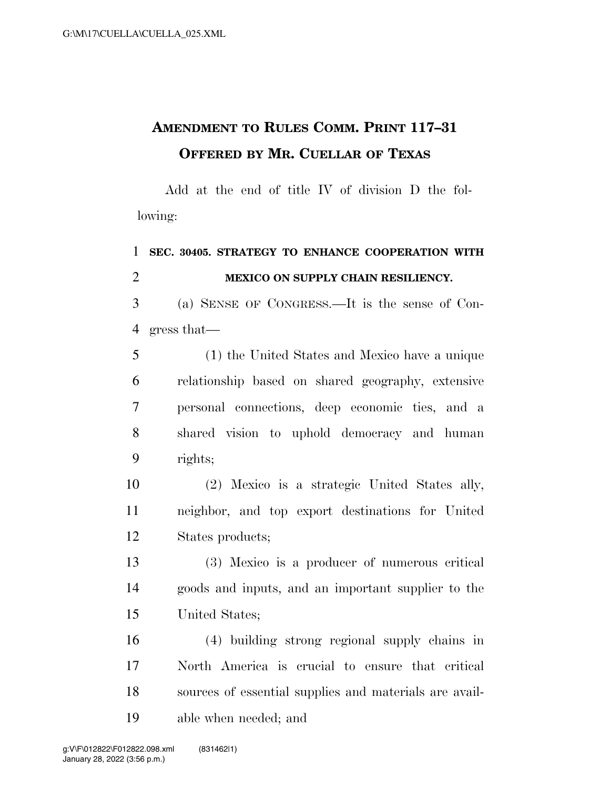## **AMENDMENT TO RULES COMM. PRINT 117–31 OFFERED BY MR. CUELLAR OF TEXAS**

Add at the end of title IV of division D the following:

## **SEC. 30405. STRATEGY TO ENHANCE COOPERATION WITH MEXICO ON SUPPLY CHAIN RESILIENCY.**

 (a) SENSE OF CONGRESS.—It is the sense of Con-gress that—

 (1) the United States and Mexico have a unique relationship based on shared geography, extensive personal connections, deep economic ties, and a shared vision to uphold democracy and human rights;

 (2) Mexico is a strategic United States ally, neighbor, and top export destinations for United States products;

 (3) Mexico is a producer of numerous critical goods and inputs, and an important supplier to the United States;

 (4) building strong regional supply chains in North America is crucial to ensure that critical sources of essential supplies and materials are avail-able when needed; and